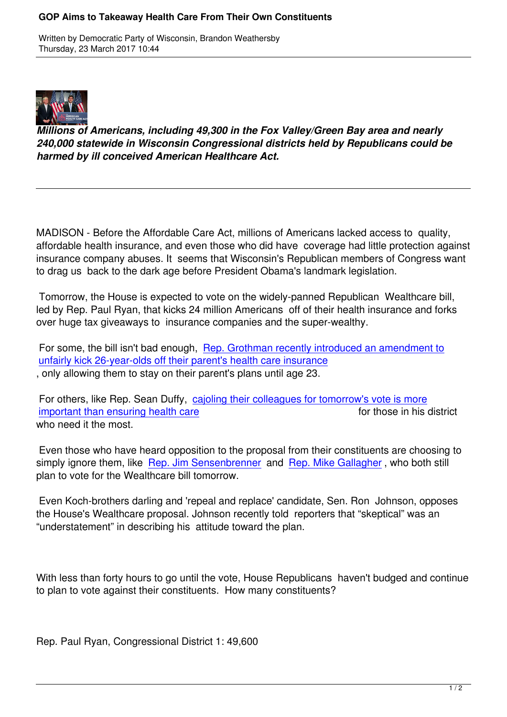

*Millions of Americans, including 49,300 in the Fox Valley/Green Bay area and nearly 240,000 statewide in Wisconsin Congressional districts held by Republicans could be harmed by ill conceived American Healthcare Act.*

MADISON - Before the Affordable Care Act, millions of Americans lacked access to quality, affordable health insurance, and even those who did have coverage had little protection against insurance company abuses. It seems that Wisconsin's Republican members of Congress want to drag us back to the dark age before President Obama's landmark legislation.

 Tomorrow, the House is expected to vote on the widely-panned Republican Wealthcare bill, led by Rep. Paul Ryan, that kicks 24 million Americans off of their health insurance and forks over huge tax giveaways to insurance companies and the super-wealthy.

For some, the bill isn't bad enough, Rep. Grothman recently introduced an amendment to unfairly kick 26-year-olds off their parent's health care insurance , only allowing them to stay on their parent's plans until age 23.

For others, like Rep. Sean Duffy, c[ajoling their colleagues for tomorrow's vote is more](http://wisdems.us1.list-manage.com/track/click?u=5fdce0a26f89c28febc13998d&id=652aff3947&e=c8d9c6b5a0)<br>important than ensuring health care<br>for those in his district important than ensuring health care who need it the most.

 [Even those who have heard opposition to the proposal from their constituents are choo](http://wisdems.us1.list-manage.com/track/click?u=5fdce0a26f89c28febc13998d&id=6e6a640eda&e=c8d9c6b5a0)sing to simply ignore them, like Rep. Jim Sensenbrenner and Rep. Mike Gallagher, who both still plan to vote for the Wealthcare bill tomorrow.

 Even Koch-brothers dar[ling and](http://wisdems.us1.list-manage.com/track/click?u=5fdce0a26f89c28febc13998d&id=bb7b145ce1&e=c8d9c6b5a0) '[repeal and replac](http://wisdems.us1.list-manage.com/track/click?u=5fdce0a26f89c28febc13998d&id=bb7b145ce1&e=c8d9c6b5a0)e' ca[ndidate, Sen. Ron Jo](http://wisdems.us1.list-manage.com/track/click?u=5fdce0a26f89c28febc13998d&id=3ed13d489d&e=c8d9c6b5a0)hnson, opposes the House's Wealthcare proposal. Johnson recently told reporters that "skeptical" was an "understatement" in describing his attitude toward the plan.

With less than forty hours to go until the vote, House Republicans haven't budged and continue to plan to vote against their constituents. How many constituents?

Rep. Paul Ryan, Congressional District 1: 49,600